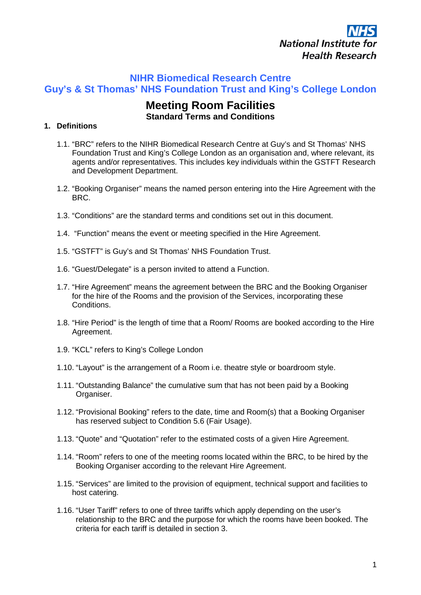

# **NIHR Biomedical Research Centre Guy's & St Thomas' NHS Foundation Trust and King's College London**

# **Meeting Room Facilities Standard Terms and Conditions**

## **1. Definitions**

- 1.1. "BRC" refers to the NIHR Biomedical Research Centre at Guy's and St Thomas' NHS Foundation Trust and King's College London as an organisation and, where relevant, its agents and/or representatives. This includes key individuals within the GSTFT Research and Development Department.
- 1.2. "Booking Organiser" means the named person entering into the Hire Agreement with the BRC.
- 1.3. "Conditions" are the standard terms and conditions set out in this document.
- 1.4. "Function" means the event or meeting specified in the Hire Agreement.
- 1.5. "GSTFT" is Guy's and St Thomas' NHS Foundation Trust.
- 1.6. "Guest/Delegate" is a person invited to attend a Function.
- 1.7. "Hire Agreement" means the agreement between the BRC and the Booking Organiser for the hire of the Rooms and the provision of the Services, incorporating these Conditions.
- 1.8. "Hire Period" is the length of time that a Room/ Rooms are booked according to the Hire Agreement.
- 1.9. "KCL" refers to King's College London
- 1.10. "Layout" is the arrangement of a Room i.e. theatre style or boardroom style.
- 1.11. "Outstanding Balance" the cumulative sum that has not been paid by a Booking Organiser.
- 1.12. "Provisional Booking" refers to the date, time and Room(s) that a Booking Organiser has reserved subject to Condition 5.6 (Fair Usage).
- 1.13. "Quote" and "Quotation" refer to the estimated costs of a given Hire Agreement.
- 1.14. "Room" refers to one of the meeting rooms located within the BRC, to be hired by the Booking Organiser according to the relevant Hire Agreement.
- 1.15. "Services" are limited to the provision of equipment, technical support and facilities to host catering.
- 1.16. "User Tariff" refers to one of three tariffs which apply depending on the user's relationship to the BRC and the purpose for which the rooms have been booked. The criteria for each tariff is detailed in section 3.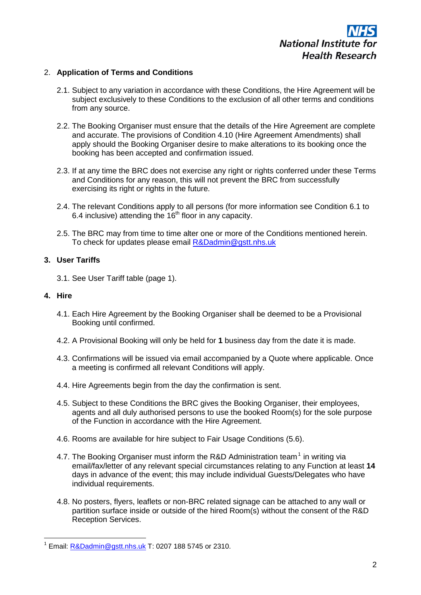

## 2. **Application of Terms and Conditions**

- 2.1. Subject to any variation in accordance with these Conditions, the Hire Agreement will be subject exclusively to these Conditions to the exclusion of all other terms and conditions from any source.
- 2.2. The Booking Organiser must ensure that the details of the Hire Agreement are complete and accurate. The provisions of Condition 4.10 (Hire Agreement Amendments) shall apply should the Booking Organiser desire to make alterations to its booking once the booking has been accepted and confirmation issued.
- 2.3. If at any time the BRC does not exercise any right or rights conferred under these Terms and Conditions for any reason, this will not prevent the BRC from successfully exercising its right or rights in the future.
- 2.4. The relevant Conditions apply to all persons (for more information see Condition 6.1 to 6.4 inclusive) attending the  $16<sup>th</sup>$  floor in any capacity.
- 2.5. The BRC may from time to time alter one or more of the Conditions mentioned herein. To check for updates please email [R&Dadmin@gstt.nhs.uk](mailto:R&Dadmin@gstt.nhs.uk)

#### **3. User Tariffs**

3.1. See User Tariff table (page 1).

#### **4. Hire**

- 4.1. Each Hire Agreement by the Booking Organiser shall be deemed to be a Provisional Booking until confirmed.
- 4.2. A Provisional Booking will only be held for **1** business day from the date it is made.
- 4.3. Confirmations will be issued via email accompanied by a Quote where applicable. Once a meeting is confirmed all relevant Conditions will apply.
- 4.4. Hire Agreements begin from the day the confirmation is sent.
- 4.5. Subject to these Conditions the BRC gives the Booking Organiser, their employees, agents and all duly authorised persons to use the booked Room(s) for the sole purpose of the Function in accordance with the Hire Agreement.
- 4.6. Rooms are available for hire subject to Fair Usage Conditions (5.6).
- 4.7. The Booking Organiser must inform the R&D Administration team<sup>[1](#page-1-0)</sup> in writing via email/fax/letter of any relevant special circumstances relating to any Function at least **14** days in advance of the event; this may include individual Guests/Delegates who have individual requirements.
- 4.8. No posters, flyers, leaflets or non-BRC related signage can be attached to any wall or partition surface inside or outside of the hired Room(s) without the consent of the R&D Reception Services.

<span id="page-1-0"></span>Email: [R&Dadmin@gstt.nhs.uk](mailto:R&Dadmin@gstt.nhs.uk) T: 0207 188 5745 or 2310.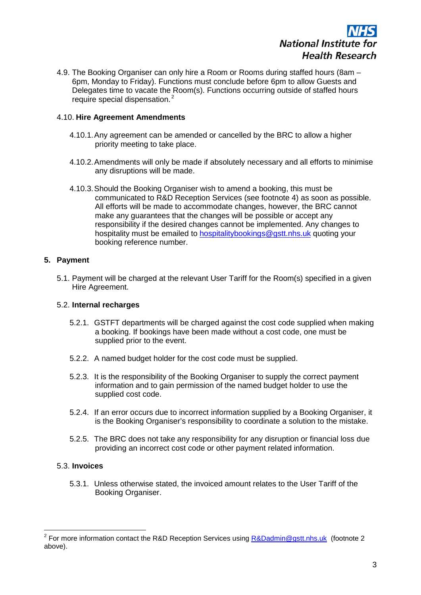

4.9. The Booking Organiser can only hire a Room or Rooms during staffed hours (8am – 6pm, Monday to Friday). Functions must conclude before 6pm to allow Guests and Delegates time to vacate the Room(s). Functions occurring outside of staffed hours require special dispensation. [2](#page-2-0)

## 4.10. **Hire Agreement Amendments**

- 4.10.1.Any agreement can be amended or cancelled by the BRC to allow a higher priority meeting to take place.
- 4.10.2.Amendments will only be made if absolutely necessary and all efforts to minimise any disruptions will be made.
- 4.10.3.Should the Booking Organiser wish to amend a booking, this must be communicated to R&D Reception Services (see footnote 4) as soon as possible. All efforts will be made to accommodate changes, however, the BRC cannot make any guarantees that the changes will be possible or accept any responsibility if the desired changes cannot be implemented. Any changes to hospitality must be emailed to [hospitalitybookings@gstt.nhs.uk](mailto:hospitalitybookings@gstt.nhs.uk) quoting your booking reference number.

## **5. Payment**

5.1. Payment will be charged at the relevant User Tariff for the Room(s) specified in a given Hire Agreement.

## 5.2. **Internal recharges**

- 5.2.1. GSTFT departments will be charged against the cost code supplied when making a booking. If bookings have been made without a cost code, one must be supplied prior to the event.
- 5.2.2. A named budget holder for the cost code must be supplied.
- 5.2.3. It is the responsibility of the Booking Organiser to supply the correct payment information and to gain permission of the named budget holder to use the supplied cost code.
- 5.2.4. If an error occurs due to incorrect information supplied by a Booking Organiser, it is the Booking Organiser's responsibility to coordinate a solution to the mistake.
- 5.2.5. The BRC does not take any responsibility for any disruption or financial loss due providing an incorrect cost code or other payment related information.

## 5.3. **Invoices**

5.3.1. Unless otherwise stated, the invoiced amount relates to the User Tariff of the Booking Organiser.

<span id="page-2-0"></span><sup>&</sup>lt;sup>2</sup> For more information contact the R&D Reception Services using [R&Dadmin@gstt.nhs.uk](mailto:R&Dadmin@gstt.nhs.uk) (footnote 2 above).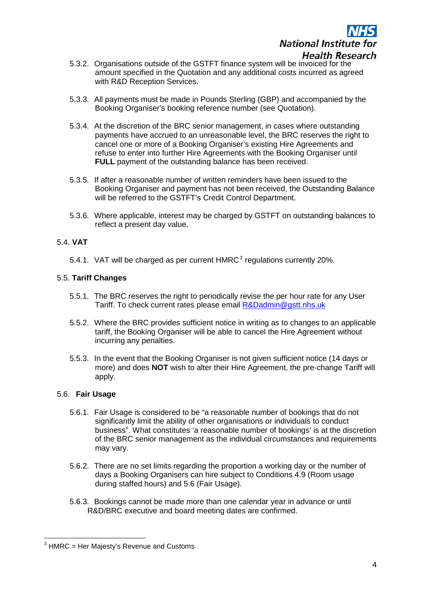

- 5.3.2. Organisations outside of the GSTFT finance system will be invoiced for the amount specified in the Quotation and any additional costs incurred as agreed with R&D Reception Services.
- 5.3.3. All payments must be made in Pounds Sterling (GBP) and accompanied by the Booking Organiser's booking reference number (see Quotation).
- 5.3.4. At the discretion of the BRC senior management, in cases where outstanding payments have accrued to an unreasonable level, the BRC reserves the right to cancel one or more of a Booking Organiser's existing Hire Agreements and refuse to enter into further Hire Agreements with the Booking Organiser until **FULL** payment of the outstanding balance has been received.
- 5.3.5. If after a reasonable number of written reminders have been issued to the Booking Organiser and payment has not been received, the Outstanding Balance will be referred to the GSTFT's Credit Control Department.
- 5.3.6. Where applicable, interest may be charged by GSTFT on outstanding balances to reflect a present day value.

## 5.4. **VAT**

5.4.1. VAT will be charged as per current  $HMRC<sup>3</sup>$  $HMRC<sup>3</sup>$  $HMRC<sup>3</sup>$  regulations currently 20%.

## 5.5. **Tariff Changes**

- 5.5.1. The BRC reserves the right to periodically revise the per hour rate for any User Tariff. To check current rates please email [R&Dadmin@gstt.nhs.uk](mailto:R&Dadmin@gstt.nhs.uk)
- 5.5.2. Where the BRC provides sufficient notice in writing as to changes to an applicable tariff, the Booking Organiser will be able to cancel the Hire Agreement without incurring any penalties.
- 5.5.3. In the event that the Booking Organiser is not given sufficient notice (14 days or more) and does **NOT** wish to alter their Hire Agreement, the pre-change Tariff will apply.

## 5.6. **Fair Usage**

- 5.6.1. Fair Usage is considered to be "a reasonable number of bookings that do not significantly limit the ability of other organisations or individuals to conduct business". What constitutes 'a reasonable number of bookings' is at the discretion of the BRC senior management as the individual circumstances and requirements may vary.
- 5.6.2. There are no set limits regarding the proportion a working day or the number of days a Booking Organisers can hire subject to Conditions 4.9 (Room usage during staffed hours) and 5.6 (Fair Usage).
- 5.6.3. Bookings cannot be made more than one calendar year in advance or until R&D/BRC executive and board meeting dates are confirmed.

<span id="page-3-0"></span> $3$  HMRC = Her Majesty's Revenue and Customs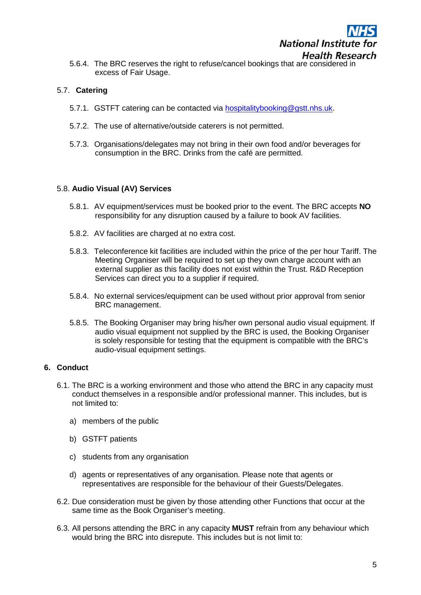5.6.4. The BRC reserves the right to refuse/cancel bookings that are considered in excess of Fair Usage.

## 5.7. **Catering**

- 5.7.1. GSTFT catering can be contacted via [hospitalitybooking@gstt.nhs.uk.](mailto:hospitalitybooking@gstt.nhs.uk)
- 5.7.2. The use of alternative/outside caterers is not permitted.
- 5.7.3. Organisations/delegates may not bring in their own food and/or beverages for consumption in the BRC. Drinks from the café are permitted.

## 5.8. **Audio Visual (AV) Services**

- 5.8.1. AV equipment/services must be booked prior to the event. The BRC accepts **NO** responsibility for any disruption caused by a failure to book AV facilities.
- 5.8.2. AV facilities are charged at no extra cost.
- 5.8.3. Teleconference kit facilities are included within the price of the per hour Tariff. The Meeting Organiser will be required to set up they own charge account with an external supplier as this facility does not exist within the Trust. R&D Reception Services can direct you to a supplier if required.
- 5.8.4. No external services/equipment can be used without prior approval from senior BRC management.
- 5.8.5. The Booking Organiser may bring his/her own personal audio visual equipment. If audio visual equipment not supplied by the BRC is used, the Booking Organiser is solely responsible for testing that the equipment is compatible with the BRC's audio-visual equipment settings.

## **6. Conduct**

- 6.1. The BRC is a working environment and those who attend the BRC in any capacity must conduct themselves in a responsible and/or professional manner. This includes, but is not limited to:
	- a) members of the public
	- b) GSTFT patients
	- c) students from any organisation
	- d) agents or representatives of any organisation. Please note that agents or representatives are responsible for the behaviour of their Guests/Delegates.
- 6.2. Due consideration must be given by those attending other Functions that occur at the same time as the Book Organiser's meeting.
- 6.3. All persons attending the BRC in any capacity **MUST** refrain from any behaviour which would bring the BRC into disrepute. This includes but is not limit to: